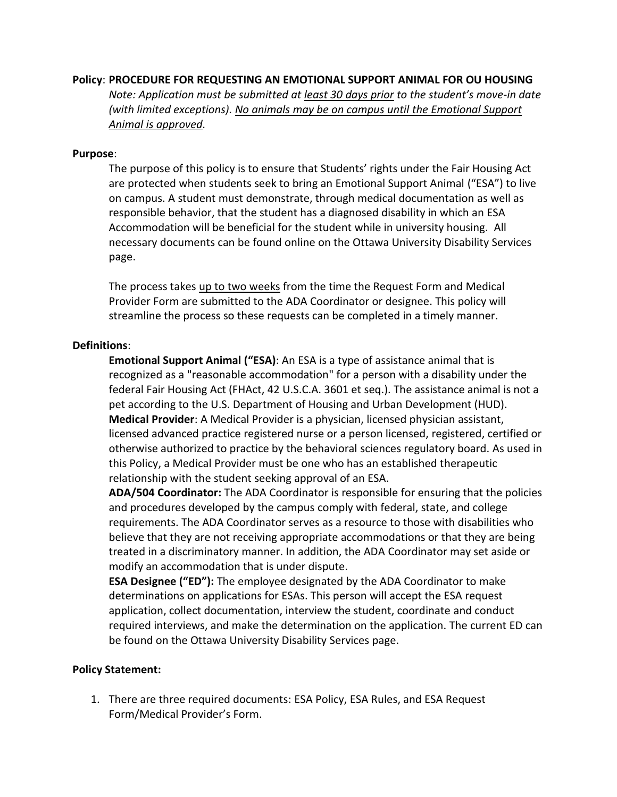## **Policy**: **PROCEDURE FOR REQUESTING AN EMOTIONAL SUPPORT ANIMAL FOR OU HOUSING**

*Note: Application must be submitted at least 30 days prior to the student's move-in date (with limited exceptions). No animals may be on campus until the Emotional Support Animal is approved.* 

## **Purpose**:

The purpose of this policy is to ensure that Students' rights under the Fair Housing Act are protected when students seek to bring an Emotional Support Animal ("ESA") to live on campus. A student must demonstrate, through medical documentation as well as responsible behavior, that the student has a diagnosed disability in which an ESA Accommodation will be beneficial for the student while in university housing. All necessary documents can be found online on the Ottawa University Disability Services page.

The process takes up to two weeks from the time the Request Form and Medical Provider Form are submitted to the ADA Coordinator or designee. This policy will streamline the process so these requests can be completed in a timely manner.

## **Definitions**:

**Emotional Support Animal ("ESA)**: An ESA is a type of assistance animal that is recognized as a "reasonable accommodation" for a person with a disability under the federal Fair Housing Act (FHAct, 42 U.S.C.A. 3601 et seq.). The assistance animal is not a pet according to the U.S. Department of Housing and Urban Development (HUD). **Medical Provider**: A Medical Provider is a physician, licensed physician assistant, licensed advanced practice registered nurse or a person licensed, registered, certified or otherwise authorized to practice by the behavioral sciences regulatory board. As used in this Policy, a Medical Provider must be one who has an established therapeutic relationship with the student seeking approval of an ESA.

**ADA/504 Coordinator:** The ADA Coordinator is responsible for ensuring that the policies and procedures developed by the campus comply with federal, state, and college requirements. The ADA Coordinator serves as a resource to those with disabilities who believe that they are not receiving appropriate accommodations or that they are being treated in a discriminatory manner. In addition, the ADA Coordinator may set aside or modify an accommodation that is under dispute.

**ESA Designee ("ED"):** The employee designated by the ADA Coordinator to make determinations on applications for ESAs. This person will accept the ESA request application, collect documentation, interview the student, coordinate and conduct required interviews, and make the determination on the application. The current ED can be found on the Ottawa University Disability Services page.

## **Policy Statement:**

1. There are three required documents: ESA Policy, ESA Rules, and ESA Request Form/Medical Provider's Form.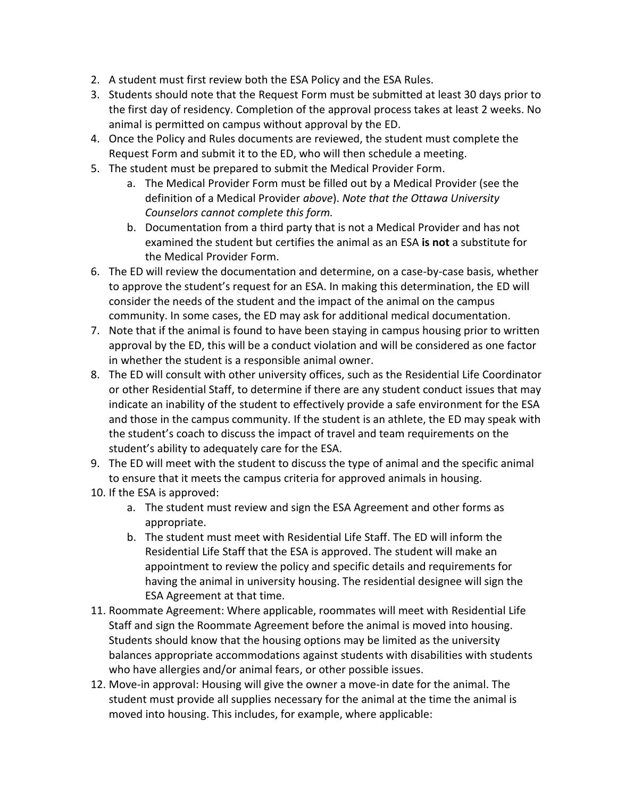- 2. A student must first review both the ESA Policy and the ESA Rules.
- 3. Students should note that the Request Form must be submitted at least 30 days prior to the first day of residency. Completion of the approval process takes at least 2 weeks. No animal is permitted on campus without approval by the ED.
- 4. Once the Policy and Rules documents are reviewed, the student must complete the Request Form and submit it to the ED, who will then schedule a meeting.
- 5. The student must be prepared to submit the Medical Provider Form.
	- a. The Medical Provider Form must be filled out by a Medical Provider (see the definition of a Medical Provider *above*). *Note that the Ottawa University Counselors cannot complete this form.*
	- b. Documentation from a third party that is not a Medical Provider and has not examined the student but certifies the animal as an ESA **is not** a substitute for the Medical Provider Form.
- 6. The ED will review the documentation and determine, on a case-by-case basis, whether to approve the student's request for an ESA. In making this determination, the ED will consider the needs of the student and the impact of the animal on the campus community. In some cases, the ED may ask for additional medical documentation.
- 7. Note that if the animal is found to have been staying in campus housing prior to written approval by the ED, this will be a conduct violation and will be considered as one factor in whether the student is a responsible animal owner.
- 8. The ED will consult with other university offices, such as the Residential Life Coordinator or other Residential Staff, to determine if there are any student conduct issues that may indicate an inability of the student to effectively provide a safe environment for the ESA and those in the campus community. If the student is an athlete, the ED may speak with the student's coach to discuss the impact of travel and team requirements on the student's ability to adequately care for the ESA.
- 9. The ED will meet with the student to discuss the type of animal and the specific animal to ensure that it meets the campus criteria for approved animals in housing.
- 10. If the ESA is approved:
	- a. The student must review and sign the ESA Agreement and other forms as appropriate.
	- b. The student must meet with Residential Life Staff. The ED will inform the Residential Life Staff that the ESA is approved. The student will make an appointment to review the policy and specific details and requirements for having the animal in university housing. The residential designee will sign the ESA Agreement at that time.
- 11. Roommate Agreement: Where applicable, roommates will meet with Residential Life Staff and sign the Roommate Agreement before the animal is moved into housing. Students should know that the housing options may be limited as the university balances appropriate accommodations against students with disabilities with students who have allergies and/or animal fears, or other possible issues.
- 12. Move-in approval: Housing will give the owner a move-in date for the animal. The student must provide all supplies necessary for the animal at the time the animal is moved into housing. This includes, for example, where applicable: